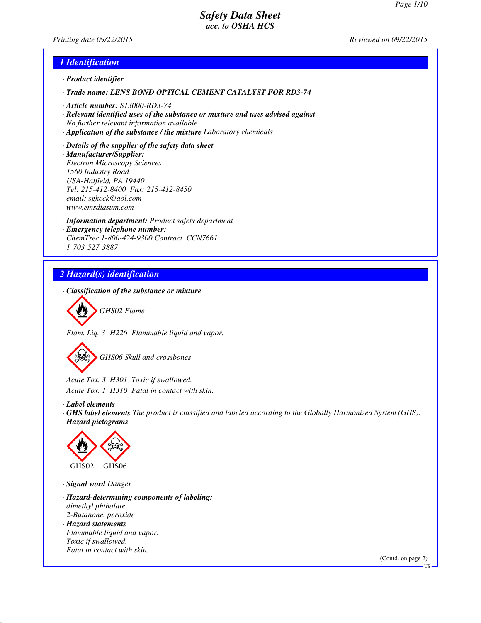*Printing date 09/22/2015 Reviewed on 09/22/2015*

#### *1 Identification*

- *· Product identifier*
- *· Trade name: LENS BOND OPTICAL CEMENT CATALYST FOR RD3-74*
- *· Article number: S13000-RD3-74*
- *· Relevant identified uses of the substance or mixture and uses advised against No further relevant information available.*
- *· Application of the substance / the mixture Laboratory chemicals*
- *· Details of the supplier of the safety data sheet · Manufacturer/Supplier: Electron Microscopy Sciences 1560 Industry Road USA-Hatfield, PA 19440 Tel: 215-412-8400 Fax: 215-412-8450 email: sgkcck@aol.com www.emsdiasum.com*
- *· Information department: Product safety department · Emergency telephone number: ChemTrec 1-800-424-9300 Contract CCN7661 1-703-527-3887*

# *2 Hazard(s) identification*

*· Classification of the substance or mixture*



*Flam. Liq. 3 H226 Flammable liquid and vapor.*

*GHS06 Skull and crossbones*

*Acute Tox. 3 H301 Toxic if swallowed.*

*Acute Tox. 1 H310 Fatal in contact with skin.*

- *· Label elements*
- *· GHS label elements The product is classified and labeled according to the Globally Harmonized System (GHS). · Hazard pictograms*



*· Signal word Danger*

- *· Hazard-determining components of labeling: dimethyl phthalate 2-Butanone, peroxide · Hazard statements Flammable liquid and vapor.*
- *Toxic if swallowed. Fatal in contact with skin.*

(Contd. on page 2)

<sup>-</sup> HS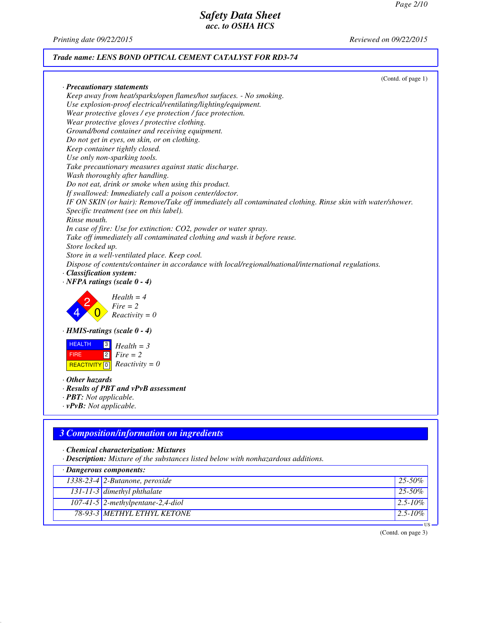*Printing date 09/22/2015 Reviewed on 09/22/2015*

## *Trade name: LENS BOND OPTICAL CEMENT CATALYST FOR RD3-74*

(Contd. of page 1)

| · Precautionary statements                                                                                              |        |
|-------------------------------------------------------------------------------------------------------------------------|--------|
| Keep away from heat/sparks/open flames/hot surfaces. - No smoking.                                                      |        |
| Use explosion-proof electrical/ventilating/lighting/equipment.                                                          |        |
|                                                                                                                         |        |
| Wear protective gloves / eye protection / face protection.                                                              |        |
| Wear protective gloves / protective clothing.                                                                           |        |
| Ground/bond container and receiving equipment.                                                                          |        |
| Do not get in eyes, on skin, or on clothing.                                                                            |        |
| Keep container tightly closed.                                                                                          |        |
| Use only non-sparking tools.                                                                                            |        |
| Take precautionary measures against static discharge.                                                                   |        |
| Wash thoroughly after handling.                                                                                         |        |
| Do not eat, drink or smoke when using this product.                                                                     |        |
| If swallowed: Immediately call a poison center/doctor.                                                                  |        |
| IF ON SKIN (or hair): Remove/Take off immediately all contaminated clothing. Rinse skin with water/shower.              |        |
| Specific treatment (see on this label).                                                                                 |        |
| Rinse mouth.                                                                                                            |        |
| In case of fire: Use for extinction: CO2, powder or water spray.                                                        |        |
| Take off immediately all contaminated clothing and wash it before reuse.                                                |        |
| Store locked up.                                                                                                        |        |
| Store in a well-ventilated place. Keep cool.                                                                            |        |
| Dispose of contents/container in accordance with local/regional/national/international regulations.                     |        |
| · Classification system:                                                                                                |        |
| $\cdot$ NFPA ratings (scale 0 - 4)                                                                                      |        |
| $Health = 4$<br>$Fire = 2$<br>$Reactivity = 0$                                                                          |        |
| $\cdot$ HMIS-ratings (scale 0 - 4)                                                                                      |        |
| <b>HEALTH</b><br> 3 <br>$Health = 3$<br> 2 <br><b>FIRE</b><br>$Fire = 2$<br>$Reactivity = 0$<br>REACTIVITY <sup>0</sup> |        |
| $\cdot$ Other hazards                                                                                                   |        |
| · Results of PBT and vPvB assessment                                                                                    |        |
| · <b>PBT</b> : Not applicable.                                                                                          |        |
| $\cdot v$ PvB: Not applicable.                                                                                          |        |
|                                                                                                                         |        |
|                                                                                                                         |        |
| <b>3 Composition/information on ingredients</b>                                                                         |        |
| • Chemical characterization: Mixtures                                                                                   |        |
| · Description: Mixture of the substances listed below with nonhazardous additions.                                      |        |
|                                                                                                                         |        |
| · Dangerous components:                                                                                                 |        |
| 1338-23-4 2-Butanone, peroxide                                                                                          | 25-50% |

*131-11-3 dimethyl phthalate 25-50% 107-41-5 2-methylpentane-2,4-diol 2.5-10% 78-93-3 METHYL ETHYL KETONE 2.5-10%* US

(Contd. on page 3)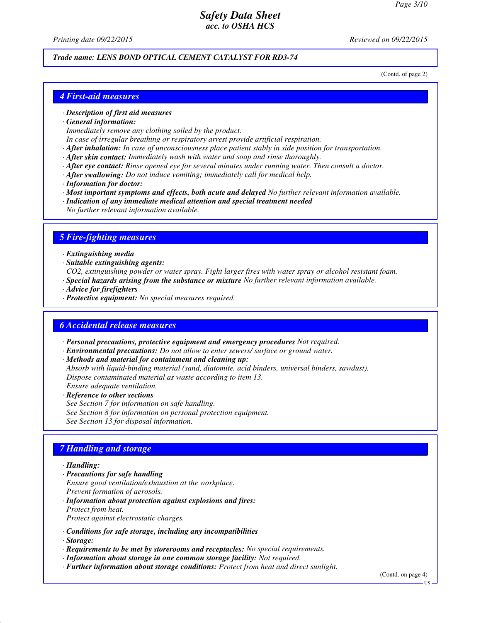*Printing date 09/22/2015 Reviewed on 09/22/2015*

# *Trade name: LENS BOND OPTICAL CEMENT CATALYST FOR RD3-74*

(Contd. of page 2)

#### *4 First-aid measures*

#### *· Description of first aid measures*

*· General information:*

*Immediately remove any clothing soiled by the product.*

- *In case of irregular breathing or respiratory arrest provide artificial respiration.*
- *· After inhalation: In case of unconsciousness place patient stably in side position for transportation.*
- *· After skin contact: Immediately wash with water and soap and rinse thoroughly.*
- *· After eye contact: Rinse opened eye for several minutes under running water. Then consult a doctor.*
- *· After swallowing: Do not induce vomiting; immediately call for medical help.*
- *· Information for doctor:*
- *· Most important symptoms and effects, both acute and delayed No further relevant information available.*
- *· Indication of any immediate medical attention and special treatment needed*
- *No further relevant information available.*

#### *5 Fire-fighting measures*

- *· Extinguishing media*
- *· Suitable extinguishing agents:*
- *CO2, extinguishing powder or water spray. Fight larger fires with water spray or alcohol resistant foam.*
- *· Special hazards arising from the substance or mixture No further relevant information available.*
- *· Advice for firefighters*
- *· Protective equipment: No special measures required.*

#### *6 Accidental release measures*

- *· Personal precautions, protective equipment and emergency procedures Not required.*
- *· Environmental precautions: Do not allow to enter sewers/ surface or ground water.*
- *· Methods and material for containment and cleaning up:*
- *Absorb with liquid-binding material (sand, diatomite, acid binders, universal binders, sawdust). Dispose contaminated material as waste according to item 13.*
- *Ensure adequate ventilation. · Reference to other sections*

*See Section 7 for information on safe handling.*

*See Section 8 for information on personal protection equipment.*

*See Section 13 for disposal information.*

#### *7 Handling and storage*

#### *· Handling:*

- *· Precautions for safe handling*
- *Ensure good ventilation/exhaustion at the workplace.*
- *Prevent formation of aerosols.*
- *· Information about protection against explosions and fires: Protect from heat.*

*Protect against electrostatic charges.*

- *· Conditions for safe storage, including any incompatibilities*
- *· Storage:*
- *· Requirements to be met by storerooms and receptacles: No special requirements.*
- *· Information about storage in one common storage facility: Not required.*
- *· Further information about storage conditions: Protect from heat and direct sunlight.*

(Contd. on page 4)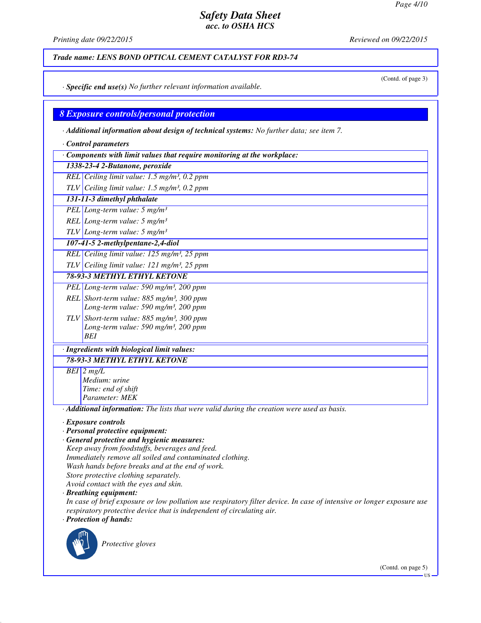*Printing date 09/22/2015 Reviewed on 09/22/2015*

*Trade name: LENS BOND OPTICAL CEMENT CATALYST FOR RD3-74*

(Contd. of page 3)

*· Specific end use(s) No further relevant information available.*

#### *8 Exposure controls/personal protection*

*· Additional information about design of technical systems: No further data; see item 7.*

- *· Control parameters*
- *· Components with limit values that require monitoring at the workplace:*

*1338-23-4 2-Butanone, peroxide*

- *REL Ceiling limit value: 1.5 mg/m³, 0.2 ppm*
- *TLV Ceiling limit value: 1.5 mg/m³, 0.2 ppm*
- *131-11-3 dimethyl phthalate*
- *PEL Long-term value: 5 mg/m³*

*REL Long-term value: 5 mg/m³*

*TLV Long-term value: 5 mg/m³*

*107-41-5 2-methylpentane-2,4-diol*

*REL Ceiling limit value: 125 mg/m³, 25 ppm*

*TLV Ceiling limit value: 121 mg/m³, 25 ppm*

*78-93-3 METHYL ETHYL KETONE*

- *PEL Long-term value: 590 mg/m³, 200 ppm REL Short-term value: 885 mg/m³, 300 ppm*
	- *Long-term value: 590 mg/m³, 200 ppm*
- *TLV Short-term value: 885 mg/m³, 300 ppm Long-term value: 590 mg/m³, 200 ppm BEI*

# *· Ingredients with biological limit values:*

*78-93-3 METHYL ETHYL KETONE*

*BEI 2 mg/L Medium: urine Time: end of shift*

*Parameter: MEK*

*· Additional information: The lists that were valid during the creation were used as basis.*

*· Exposure controls*

- *· Personal protective equipment:*
- *· General protective and hygienic measures: Keep away from foodstuffs, beverages and feed. Immediately remove all soiled and contaminated clothing. Wash hands before breaks and at the end of work.*
- *Store protective clothing separately.*

*Avoid contact with the eyes and skin.*

*· Breathing equipment:*

*In case of brief exposure or low pollution use respiratory filter device. In case of intensive or longer exposure use respiratory protective device that is independent of circulating air. · Protection of hands:*



*Protective gloves*

(Contd. on page 5)

US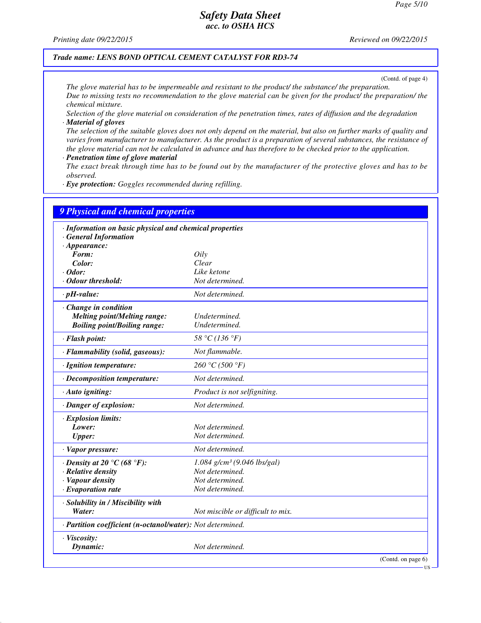*Printing date 09/22/2015 Reviewed on 09/22/2015*

#### *Trade name: LENS BOND OPTICAL CEMENT CATALYST FOR RD3-74*

(Contd. of page 4)

US

*The glove material has to be impermeable and resistant to the product/ the substance/ the preparation. Due to missing tests no recommendation to the glove material can be given for the product/ the preparation/ the chemical mixture.*

*Selection of the glove material on consideration of the penetration times, rates of diffusion and the degradation · Material of gloves*

*The selection of the suitable gloves does not only depend on the material, but also on further marks of quality and varies from manufacturer to manufacturer. As the product is a preparation of several substances, the resistance of the glove material can not be calculated in advance and has therefore to be checked prior to the application.*

*· Penetration time of glove material*

*The exact break through time has to be found out by the manufacturer of the protective gloves and has to be observed.*

*· Eye protection: Goggles recommended during refilling.*

| · Information on basic physical and chemical properties    |                                           |  |
|------------------------------------------------------------|-------------------------------------------|--|
| · General Information                                      |                                           |  |
| $\cdot$ Appearance:                                        |                                           |  |
| Form:                                                      | Oily                                      |  |
| Color:                                                     | Clear                                     |  |
| $\cdot$ Odor:                                              | Like ketone                               |  |
| · Odour threshold:                                         | Not determined.                           |  |
| $\cdot$ pH-value:                                          | Not determined.                           |  |
| $\cdot$ Change in condition                                |                                           |  |
| <b>Melting point/Melting range:</b>                        | Undetermined.                             |  |
| <b>Boiling point/Boiling range:</b>                        | Undetermined.                             |  |
| · Flash point:                                             | 58 °C (136 °F)                            |  |
| · Flammability (solid, gaseous):                           | Not flammable.                            |  |
| · Ignition temperature:                                    | 260 °C (500 °F)                           |  |
| · Decomposition temperature:                               | Not determined.                           |  |
| · Auto igniting:                                           | Product is not selfigniting.              |  |
| · Danger of explosion:                                     | Not determined.                           |  |
| · Explosion limits:                                        |                                           |  |
| Lower:                                                     | Not determined.                           |  |
| <b>Upper:</b>                                              | Not determined.                           |  |
| · Vapor pressure:                                          | Not determined.                           |  |
| $\cdot$ Density at 20 °C (68 °F):                          | $1.084$ g/cm <sup>3</sup> (9.046 lbs/gal) |  |
| · Relative density                                         | Not determined.                           |  |
| · Vapour density                                           | Not determined.                           |  |
| $\cdot$ Evaporation rate                                   | Not determined.                           |  |
| · Solubility in / Miscibility with                         |                                           |  |
| Water:                                                     | Not miscible or difficult to mix.         |  |
| · Partition coefficient (n-octanol/water): Not determined. |                                           |  |
| · Viscosity:                                               |                                           |  |
| Dynamic:                                                   | Not determined.                           |  |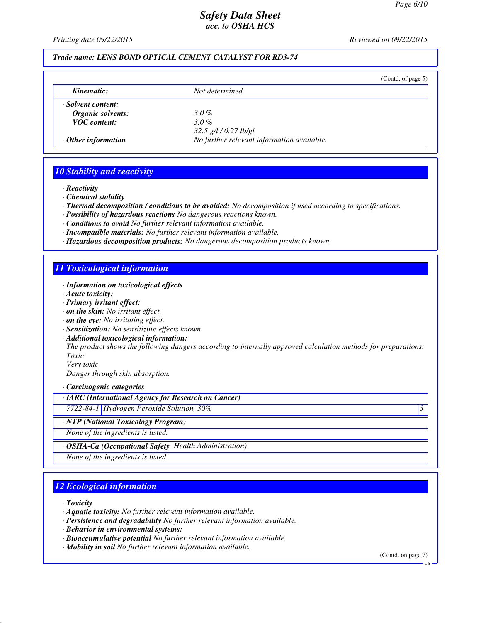*Printing date 09/22/2015 Reviewed on 09/22/2015*

## *Trade name: LENS BOND OPTICAL CEMENT CATALYST FOR RD3-74*

|                           |                                            | (Contd. of page $5$ ) |
|---------------------------|--------------------------------------------|-----------------------|
| Kinematic:                | Not determined.                            |                       |
| · Solvent content:        |                                            |                       |
| Organic solvents:         | $3.0\%$                                    |                       |
| <b>VOC</b> content:       | $3.0\%$                                    |                       |
|                           | $32.5$ g/l / 0.27 lb/gl                    |                       |
| $\cdot$ Other information | No further relevant information available. |                       |

#### *10 Stability and reactivity*

*· Reactivity*

*· Chemical stability*

*· Thermal decomposition / conditions to be avoided: No decomposition if used according to specifications.*

- *· Possibility of hazardous reactions No dangerous reactions known.*
- *· Conditions to avoid No further relevant information available.*
- *· Incompatible materials: No further relevant information available.*
- *· Hazardous decomposition products: No dangerous decomposition products known.*

#### *11 Toxicological information*

- *· Information on toxicological effects*
- *· Acute toxicity:*
- *· Primary irritant effect:*
- *· on the skin: No irritant effect.*
- *· on the eye: No irritating effect.*
- *· Sensitization: No sensitizing effects known.*
- *· Additional toxicological information:*

*The product shows the following dangers according to internally approved calculation methods for preparations: Toxic*

*Very toxic Danger through skin absorption.*

*· Carcinogenic categories*

*· IARC (International Agency for Research on Cancer)*

*7722-84-1 Hydrogen Peroxide Solution, 30% 3* 

*· NTP (National Toxicology Program)*

*None of the ingredients is listed.*

*· OSHA-Ca (Occupational Safety Health Administration)*

*None of the ingredients is listed.*

## *12 Ecological information*

*· Toxicity*

- *· Aquatic toxicity: No further relevant information available.*
- *· Persistence and degradability No further relevant information available.*
- *· Behavior in environmental systems:*
- *· Bioaccumulative potential No further relevant information available.*
- *· Mobility in soil No further relevant information available.*

(Contd. on page 7)

US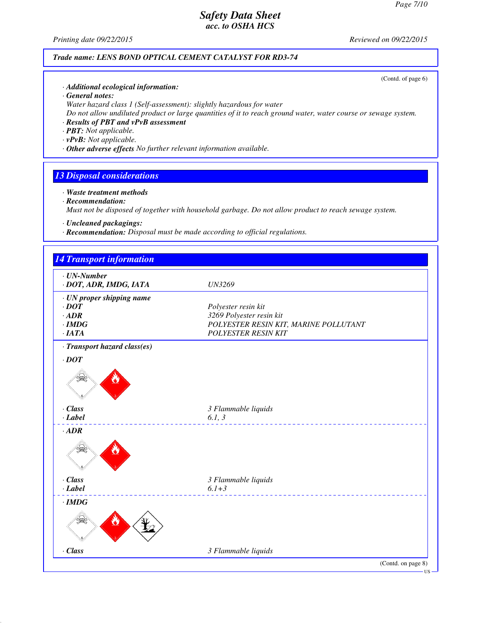*Printing date 09/22/2015 Reviewed on 09/22/2015*

#### *Trade name: LENS BOND OPTICAL CEMENT CATALYST FOR RD3-74*

(Contd. of page 6)

- *· Additional ecological information:*
- *· General notes:*
- *Water hazard class 1 (Self-assessment): slightly hazardous for water*
- *Do not allow undiluted product or large quantities of it to reach ground water, water course or sewage system.*
- *· Results of PBT and vPvB assessment*
- *· PBT: Not applicable.*
- *· vPvB: Not applicable.*
- *· Other adverse effects No further relevant information available.*

#### *13 Disposal considerations*

- *· Waste treatment methods · Recommendation: Must not be disposed of together with household garbage. Do not allow product to reach sewage system.*
- *· Uncleaned packagings:*
- *· Recommendation: Disposal must be made according to official regulations.*

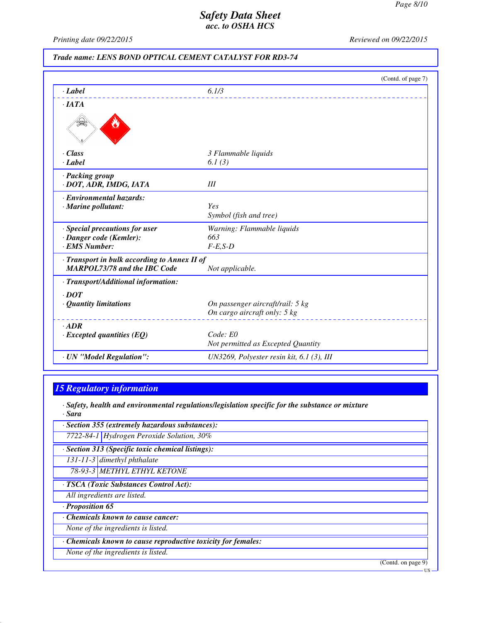*Printing date 09/22/2015 Reviewed on 09/22/2015*

#### *Trade name: LENS BOND OPTICAL CEMENT CATALYST FOR RD3-74*

|                                              | (Contd. of page 7)                          |  |
|----------------------------------------------|---------------------------------------------|--|
| · Label                                      | 6.1/3                                       |  |
| $\cdot$ IATA                                 |                                             |  |
|                                              |                                             |  |
| · Class                                      | 3 Flammable liquids                         |  |
| $\cdot$ <i>Label</i>                         | 6.1 $(3)$                                   |  |
| · Packing group                              |                                             |  |
| · DOT, ADR, IMDG, IATA                       | III                                         |  |
| · Environmental hazards:                     |                                             |  |
| $\cdot$ Marine pollutant:                    | <b>Yes</b>                                  |  |
|                                              | Symbol (fish and tree)                      |  |
| · Special precautions for user               | Warning: Flammable liquids                  |  |
| · Danger code (Kemler):                      | 663                                         |  |
| · EMS Number:                                | $F-E,S-D$                                   |  |
| · Transport in bulk according to Annex II of |                                             |  |
| <b>MARPOL73/78 and the IBC Code</b>          | Not applicable.                             |  |
| · Transport/Additional information:          |                                             |  |
| $\cdot$ DOT                                  |                                             |  |
| $\cdot$ Quantity limitations                 | On passenger aircraft/rail: 5 kg            |  |
|                                              | On cargo aircraft only: 5 kg                |  |
| $-ADR$                                       |                                             |  |
| $\cdot$ Excepted quantities (EQ)             | Code: E0                                    |  |
|                                              | Not permitted as Excepted Quantity          |  |
| · UN "Model Regulation":                     | UN3269, Polyester resin kit, $6.1$ (3), III |  |
|                                              |                                             |  |

# *15 Regulatory information*

*· Safety, health and environmental regulations/legislation specific for the substance or mixture · Sara*

*· Section 355 (extremely hazardous substances):*

*7722-84-1 Hydrogen Peroxide Solution, 30%*

*· Section 313 (Specific toxic chemical listings):*

*131-11-3 dimethyl phthalate*

*78-93-3 METHYL ETHYL KETONE*

*· TSCA (Toxic Substances Control Act):*

*All ingredients are listed.*

*· Proposition 65*

*· Chemicals known to cause cancer:*

*None of the ingredients is listed.*

*· Chemicals known to cause reproductive toxicity for females:*

*None of the ingredients is listed.*

(Contd. on page 9)

US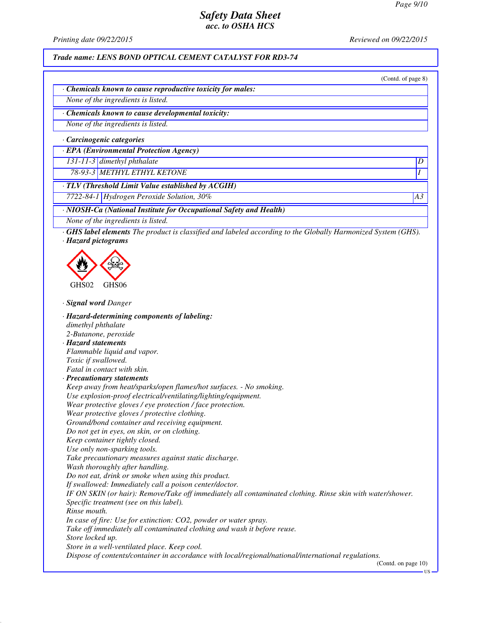*Printing date 09/22/2015 Reviewed on 09/22/2015*

*Trade name: LENS BOND OPTICAL CEMENT CATALYST FOR RD3-74*

(Contd. of page 8)

*· Chemicals known to cause reproductive toxicity for males:*

*None of the ingredients is listed.*

*· Chemicals known to cause developmental toxicity:*

*None of the ingredients is listed.*

*· Carcinogenic categories*

*· EPA (Environmental Protection Agency)*

*131-11-3 dimethyl phthalate D* 

*78-93-3 METHYL ETHYL KETONE I* 

*· TLV (Threshold Limit Value established by ACGIH)*

*7722-84-1 Hydrogen Peroxide Solution, 30% A3*

*· NIOSH-Ca (National Institute for Occupational Safety and Health)*

*None of the ingredients is listed.*

*· GHS label elements The product is classified and labeled according to the Globally Harmonized System (GHS). · Hazard pictograms*



*· Signal word Danger*

*· Hazard-determining components of labeling: dimethyl phthalate 2-Butanone, peroxide · Hazard statements Flammable liquid and vapor. Toxic if swallowed. Fatal in contact with skin. · Precautionary statements Keep away from heat/sparks/open flames/hot surfaces. - No smoking. Use explosion-proof electrical/ventilating/lighting/equipment. Wear protective gloves / eye protection / face protection. Wear protective gloves / protective clothing. Ground/bond container and receiving equipment. Do not get in eyes, on skin, or on clothing. Keep container tightly closed. Use only non-sparking tools. Take precautionary measures against static discharge. Wash thoroughly after handling. Do not eat, drink or smoke when using this product. If swallowed: Immediately call a poison center/doctor. IF ON SKIN (or hair): Remove/Take off immediately all contaminated clothing. Rinse skin with water/shower. Specific treatment (see on this label). Rinse mouth. In case of fire: Use for extinction: CO2, powder or water spray. Take off immediately all contaminated clothing and wash it before reuse. Store locked up. Store in a well-ventilated place. Keep cool. Dispose of contents/container in accordance with local/regional/national/international regulations.* (Contd. on page 10)